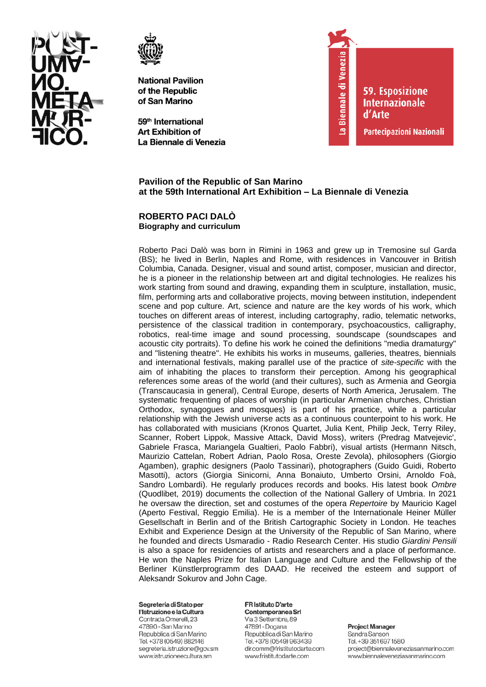



59<sup>th</sup> International **Art Exhibition of** La Biennale di Venezia



**59. Esposizione Internazionale** d'Arte

Partecipazioni Nazionali

# Pavilion of the Republic of San Marino at the 59th International Art Exhibition - La Biennale di Venezia

### ROBERTO PACI DALO **Biography and curriculum**

Roberto Paci Dalò was born in Rimini in 1963 and grew up in Tremosine sul Garda (BS); he lived in Berlin, Naples and Rome, with residences in Vancouver in British Columbia, Canada. Designer, visual and sound artist, composer, musician and director, he is a pioneer in the relationship between art and digital technologies. He realizes his work starting from sound and drawing, expanding them in sculpture, installation, music, film, performing arts and collaborative projects, moving between institution, independent scene and pop culture. Art, science and nature are the key words of his work, which touches on different areas of interest, including cartography, radio, telematic networks, persistence of the classical tradition in contemporary, psychoacoustics, calligraphy, robotics, real-time image and sound processing, soundscape (soundscapes and acoustic city portraits). To define his work he coined the definitions "media dramaturgy" and "listening theatre". He exhibits his works in museums, galleries, theatres, biennials and international festivals, making parallel use of the practice of site-specific with the aim of inhabiting the places to transform their perception. Among his geographical references some areas of the world (and their cultures), such as Armenia and Georgia (Transcaucasia in general), Central Europe, deserts of North America, Jerusalem, The systematic frequenting of places of worship (in particular Armenian churches, Christian Orthodox, synagogues and mosques) is part of his practice, while a particular relationship with the Jewish universe acts as a continuous counterpoint to his work. He has collaborated with musicians (Kronos Quartet, Julia Kent, Philip Jeck, Terry Riley, Scanner, Robert Lippok, Massive Attack, David Moss), writers (Predrag Matvejevic', Gabriele Frasca, Mariangela Gualtieri, Paolo Fabbri), visual artists (Hermann Nitsch, Maurizio Cattelan, Robert Adrian, Paolo Rosa, Oreste Zevola), philosophers (Giorgio Agamben), graphic designers (Paolo Tassinari), photographers (Guido Guidi, Roberto Masotti), actors (Giorgia Sinicorni, Anna Bonaiuto, Umberto Orsini, Arnoldo Foà, Sandro Lombardi). He regularly produces records and books. His latest book Ombre (Quodlibet, 2019) documents the collection of the National Gallery of Umbria. In 2021 he oversaw the direction, set and costumes of the opera Repertoire by Mauricio Kagel (Aperto Festival, Reggio Emilia). He is a member of the Internationale Heiner Müller Gesellschaft in Berlin and of the British Cartographic Society in London. He teaches Exhibit and Experience Design at the University of the Republic of San Marino, where he founded and directs Usmaradio - Radio Research Center. His studio Giardini Pensili is also a space for residencies of artists and researchers and a place of performance. He won the Naples Prize for Italian Language and Culture and the Fellowship of the Berliner Künstlerprogramm des DAAD. He received the esteem and support of Aleksandr Sokurov and John Cage.

#### Segreteria di Stato per l'Istruzione e la Cultura

Contrada Omerelli, 23 47890 - San Marino Repubblica di San Marino Tel. +378 (0549) 882146 segreteria.istruzione@gov.sm www.istruzioneecultura.sm

### FR Istituto D'arte Contemporanea Srl

Via 3 Settembre, 89 47891 - Dogana Repubblica di San Marino Tel. +378 (0549) 963439 dir.comm@fristitutodarte.com www.fristitutodarte.com

**Project Manager**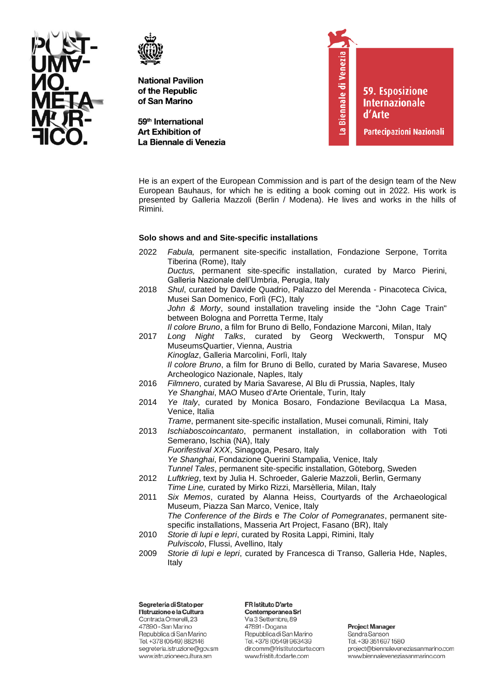



59<sup>th</sup> International **Art Exhibition of** La Biennale di Venezia



He is an expert of the European Commission and is part of the design team of the New European Bauhaus, for which he is editing a book coming out in 2022. His work is presented by Galleria Mazzoli (Berlin / Modena). He lives and works in the hills of Rimini.

### **Solo shows and and Site-specific installations**

- 2022 *Fabula,* permanent site-specific installation, Fondazione Serpone, Torrita Tiberina (Rome), Italy *Ductus,* permanent site-specific installation, curated by Marco Pierini, Galleria Nazionale dell'Umbria, Perugia, Italy 2018 *Shul*, curated by Davide Quadrio, Palazzo del Merenda - Pinacoteca Civica, Musei San Domenico, Forlì (FC), Italy *John & Morty*, sound installation traveling inside the "John Cage Train" between Bologna and Porretta Terme, Italy *Il colore Bruno*, a film for Bruno di Bello, Fondazione Marconi, Milan, Italy 2017 *Long Night Talks*, curated by Georg Weckwerth, Tonspur MQ MuseumsQuartier, Vienna, Austria *Kinoglaz*, Galleria Marcolini, Forlì, Italy *Il colore Bruno*, a film for Bruno di Bello, curated by Maria Savarese, Museo Archeologico Nazionale, Naples, Italy 2016 *Filmnero*, curated by Maria Savarese, Al Blu di Prussia, Naples, Italy *Ye Shanghai*, MAO Museo d'Arte Orientale, Turin, Italy 2014 *Ye Italy*, curated by Monica Bosaro, Fondazione Bevilacqua La Masa, Venice, Italia *Trame*, permanent site-specific installation, Musei comunali, Rimini, Italy 2013 *Ischiaboscoincantato*, permanent installation, in collaboration with Toti Semerano, Ischia (NA), Italy *Fuorifestival XXX*, Sinagoga, Pesaro, Italy *Ye Shanghai*, Fondazione Querini Stampalia, Venice, Italy *Tunnel Tales*, permanent site-specific installation, Göteborg, Sweden 2012 *Luftkrieg*, text by Julia H. Schroeder, Galerie Mazzoli, Berlin, Germany *Time Line,* curated by Mirko Rizzi, Marsèlleria, Milan, Italy 2011 *Six Memos*, curated by Alanna Heiss, Courtyards of the Archaeological Museum, Piazza San Marco, Venice, Italy
	- *The Conference of the Birds* e *The Color of Pomegranates*, permanent sitespecific installations, Masseria Art Project, Fasano (BR), Italy
- 2010 *Storie di lupi e lepri*, curated by Rosita Lappi, Rimini, Italy *Pulviscolo*, Flussi, Avellino, Italy
- 2009 *Storie di lupi e lepri*, curated by Francesca di Transo, Galleria Hde, Naples, Italy

Segreteria di Stato per l'Istruzione e la Cultura Contrada Omerelli, 23 47890 - San Marino Repubblica di San Marino Tel. +378 (0549) 882146 segreteria.istruzione@gov.sm www.istruzioneecultura.sm

FR Istituto D'arte Contemporanea Srl

Via 3 Settembre, 89 47891 - Dogana Repubblica di San Marino Tel. +378 (0549) 963439 dir.comm@fristitutodarte.com www.fristitutodarte.com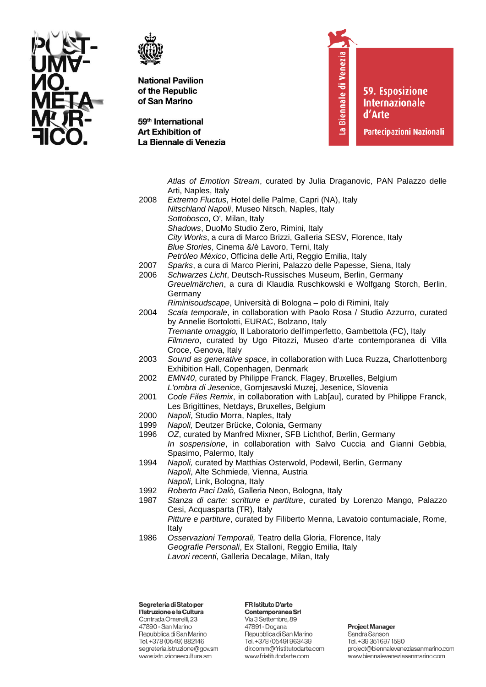



59<sup>th</sup> International **Art Exhibition of** La Biennale di Venezia La Biennale di Venezia

**59. Esposizione Internazionale** d'Arte

**Partecipazioni Nazionali** 

Atlas of Emotion Stream, curated by Julia Draganovic, PAN Palazzo delle Arti, Naples, Italy 2008 Extremo Fluctus, Hotel delle Palme, Capri (NA), Italy Nitschland Napoli, Museo Nitsch, Naples, Italy Sottobosco, O', Milan, Italy Shadows, DuoMo Studio Zero, Rimini, Italy City Works, a cura di Marco Brizzi, Galleria SESV, Florence, Italy Blue Stories, Cinema &/è Lavoro, Terni, Italy Petróleo México. Officina delle Arti, Reggio Emilia, Italy 2007 Sparks, a cura di Marco Pierini, Palazzo delle Papesse, Siena, Italy 2006 Schwarzes Licht, Deutsch-Russisches Museum, Berlin, Germany Greuelmärchen, a cura di Klaudia Ruschkowski e Wolfgang Storch, Berlin, Germany Riminisoudscape, Università di Bologna - polo di Rimini, Italy 2004 Scala temporale, in collaboration with Paolo Rosa / Studio Azzurro, curated by Annelie Bortolotti, EURAC, Bolzano, Italy Tremante omaggio, Il Laboratorio dell'imperfetto, Gambettola (FC), Italy Filmnero, curated by Ugo Pitozzi, Museo d'arte contemporanea di Villa Croce, Genova, Italy 2003 Sound as generative space, in collaboration with Luca Ruzza, Charlottenborg Exhibition Hall, Copenhagen, Denmark 2002 EMN40, curated by Philippe Franck, Flagey, Bruxelles, Belgium L'ombra di Jesenice, Gornjesavski Muzej, Jesenice, Slovenia 2001 Code Files Remix, in collaboration with Lab[au], curated by Philippe Franck, Les Brigittines, Netdays, Bruxelles, Belgium 2000 Napoli, Studio Morra, Naples, Italy 1999 Napoli, Deutzer Brücke, Colonia, Germany OZ, curated by Manfred Mixner, SFB Lichthof, Berlin, Germany 1996 In sospensione, in collaboration with Salvo Cuccia and Gianni Gebbia, Spasimo, Palermo, Italy 1994 Napoli, curated by Matthias Osterwold, Podewil, Berlin, Germany Napoli, Alte Schmiede, Vienna, Austria Napoli, Link. Bologna, Italy Roberto Paci Dalò, Galleria Neon, Bologna, Italy 1992 1987 Stanza di carte: scritture e partiture, curated by Lorenzo Mango, Palazzo Cesi, Acquasparta (TR), Italy Pitture e partiture, curated by Filiberto Menna, Lavatoio contumaciale, Rome, Italy 1986 Osservazioni Temporali, Teatro della Gloria, Florence, Italy Geografie Personali, Ex Stalloni, Reggio Emilia, Italy Lavori recenti, Galleria Decalage, Milan, Italy

Segreteria di Stato per l'Istruzione e la Cultura Contrada Omerelli, 23 47890 - San Marino Repubblica di San Marino Tel. +378 (0549) 882146 segreteria.istruzione@gov.sm www.istruzioneecultura.sm

# FR Istituto D'arte

Contemporanea Srl Via 3 Settembre, 89 47891 - Dogana Repubblica di San Marino Tel. +378 (0549) 963439 dir.comm@fristitutodarte.com www.fristitutodarte.com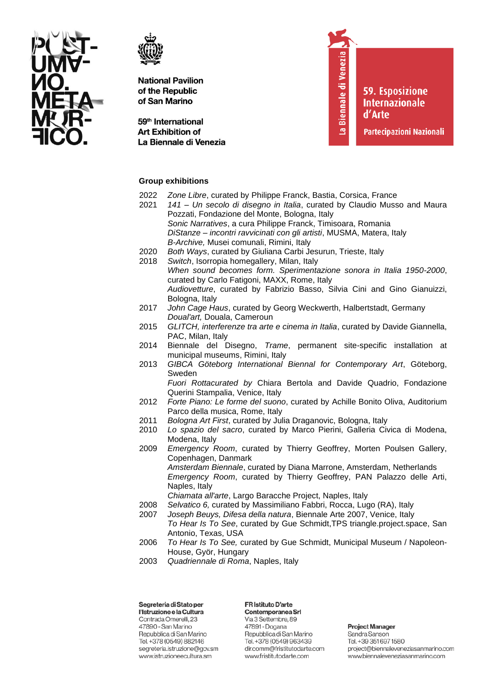



59<sup>th</sup> International **Art Exhibition of** La Biennale di Venezia La Biennale di Venezia

**59. Esposizione Internazionale** d'Arte

**Partecipazioni Nazionali** 

## **Group exhibitions**

- 2022 *Zone Libre*, curated by Philippe Franck, Bastia, Corsica, France
- 2021 *141 – Un secolo di disegno in Italia*, curated by Claudio Musso and Maura Pozzati, Fondazione del Monte, Bologna, Italy *Sonic Narratives*, a cura Philippe Franck, Timisoara, Romania *DiStanze – incontri ravvicinati con gli artisti*, MUSMA, Matera, Italy *B-Archive,* Musei comunali, Rimini, Italy
- 2020 *Both Ways*, curated by Giuliana Carbi Jesurun, Trieste, Italy
- 2018 *Switch*, Isorropia homegallery, Milan, Italy *When sound becomes form. Sperimentazione sonora in Italia 1950-2000*, curated by Carlo Fatigoni, MAXX, Rome, Italy *Audiovetture*, curated by Fabrizio Basso, Silvia Cini and Gino Gianuizzi, Bologna, Italy
- 2017 *John Cage Haus*, curated by Georg Weckwerth, Halbertstadt, Germany *Doual'art,* Douala, Cameroun
- 2015 *GLITCH, interferenze tra arte e cinema in Italia*, curated by Davide Giannella, PAC, Milan, Italy
- 2014 Biennale del Disegno, *Trame*, permanent site-specific installation at municipal museums, Rimini, Italy
- 2013 *GIBCA Göteborg International Biennal for Contemporary Art*, Göteborg, Sweden

*Fuori Rottacurated by* Chiara Bertola and Davide Quadrio, Fondazione Querini Stampalia, Venice, Italy

- 2012 *Forte Piano: Le forme del suono*, curated by Achille Bonito Oliva, Auditorium Parco della musica, Rome, Italy
- 2011 *Bologna Art First*, curated by Julia Draganovic, Bologna, Italy
- 2010 *Lo spazio del sacro*, curated by Marco Pierini, Galleria Civica di Modena, Modena, Italy
- 2009 *Emergency Room*, curated by Thierry Geoffrey, Morten Poulsen Gallery, Copenhagen, Danmark *Amsterdam Biennale*, curated by Diana Marrone, Amsterdam, Netherlands *Emergency Room*, curated by Thierry Geoffrey, PAN Palazzo delle Arti, Naples, Italy
	- *Chiamata all'arte*, Largo Baracche Project, Naples, Italy
- 2008 *Selvatico 6,* curated by Massimiliano Fabbri, Rocca, Lugo (RA), Italy
- 2007 *Joseph Beuys, Difesa della natura*, Biennale Arte 2007, Venice, Italy *To Hear Is To See*, curated by Gue Schmidt,TPS triangle.project.space, San Antonio, Texas, USA
- 2006 *To Hear Is To See,* curated by Gue Schmidt, Municipal Museum / Napoleon-House, Györ, Hungary
- 2003 *Quadriennale di Roma*, Naples, Italy

Segreteria di Stato per l'Istruzione e la Cultura Contrada Omerelli, 23 47890 - San Marino Repubblica di San Marino Tel. +378 (0549) 882146 segreteria.istruzione@gov.sm www.istruzioneecultura.sm

FR Istituto D'arte Contemporanea Srl Via 3 Settembre, 89 47891 - Dogana Repubblica di San Marino Tel. +378 (0549) 963439 dir.comm@fristitutodarte.com

www.fristitutodarte.com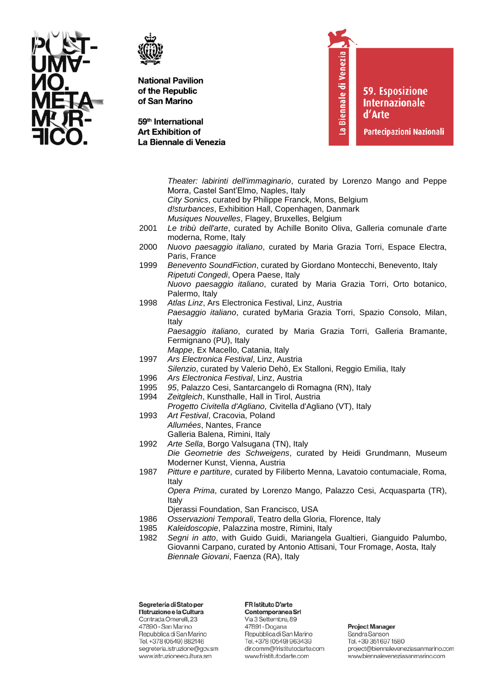



59<sup>th</sup> International **Art Exhibition of** La Biennale di Venezia La Biennale di Venezia

**59. Esposizione Internazionale** d'Arte

**Partecipazioni Nazionali** 

Theater: labirinti dell'immaginario, curated by Lorenzo Mango and Peppe Morra, Castel Sant'Elmo, Naples, Italy City Sonics, curated by Philippe Franck, Mons, Belgium d!sturbances, Exhibition Hall, Copenhagen, Danmark Musiques Nouvelles, Flagey, Bruxelles, Belgium 2001 Le tribù dell'arte, curated by Achille Bonito Oliva, Galleria comunale d'arte moderna, Rome, Italy Nuovo paesaggio italiano, curated by Maria Grazia Torri, Espace Electra, 2000 Paris, France 1999 Benevento SoundFiction, curated by Giordano Montecchi, Benevento, Italy Ripetuti Congedi, Opera Paese, Italy Nuovo paesaggio italiano, curated by Maria Grazia Torri. Orto botanico, Palermo, Italy 1998 Atlas Linz, Ars Electronica Festival, Linz, Austria Paesaggio italiano, curated byMaria Grazia Torri, Spazio Consolo, Milan, Italy Paesaggio italiano, curated by Maria Grazia Torri, Galleria Bramante, Fermignano (PU), Italy Mappe, Ex Macello, Catania, Italy 1997 Ars Electronica Festival, Linz, Austria Silenzio, curated by Valerio Dehò, Ex Stalloni, Reggio Emilia, Italy 1996 Ars Electronica Festival, Linz, Austria 1995 95, Palazzo Cesi, Santarcangelo di Romagna (RN), Italy 1994 Zeitgleich, Kunsthalle, Hall in Tirol, Austria Progetto Civitella d'Agliano, Civitella d'Agliano (VT), Italy 1993 Art Festival, Cracovia, Poland Allumées, Nantes, France Galleria Balena, Rimini, Italy 1992 Arte Sella, Borgo Valsugana (TN), Italy Die Geometrie des Schweigens, curated by Heidi Grundmann, Museum Moderner Kunst, Vienna, Austria 1987 Pitture e partiture, curated by Filiberto Menna, Lavatoio contumaciale, Roma, Italy Opera Prima, curated by Lorenzo Mango, Palazzo Cesi, Acquasparta (TR), Italy Djerassi Foundation, San Francisco, USA 1986 Osservazioni Temporali, Teatro della Gloria, Florence, Italy 1985 Kaleidoscopie, Palazzina mostre, Rimini, Italy 1982 Segni in atto, with Guido Guidi, Mariangela Gualtieri, Gianguido Palumbo, Giovanni Carpano, curated by Antonio Attisani, Tour Fromage, Aosta, Italy Biennale Giovani, Faenza (RA), Italy

Segreteria di Stato per l'Istruzione e la Cultura Contrada Omerelli, 23 47890 - San Marino Repubblica di San Marino Tel. +378 (0549) 882146 segreteria.istruzione@gov.sm www.istruzioneecultura.sm

FR Istituto D'arte Contemporanea Srl

Via 3 Settembre, 89 47891 - Dogana Repubblica di San Marino Tel. +378 (0549) 963439 dir.comm@fristitutodarte.com www.fristitutodarte.com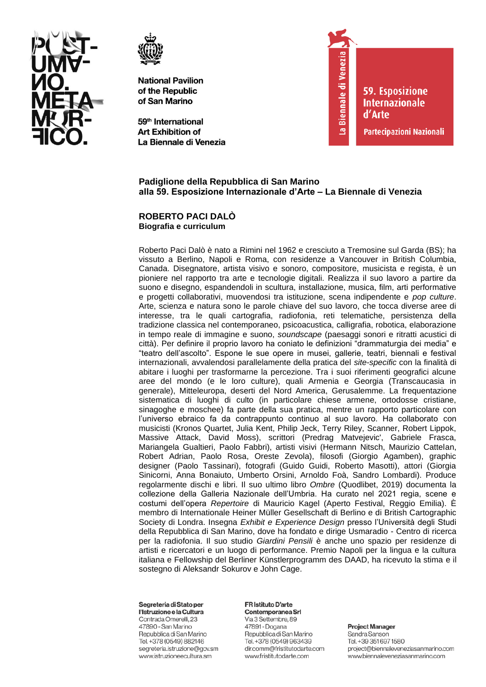



59<sup>th</sup> International **Art Exhibition of** La Biennale di Venezia



**59. Esposizione Internazionale** d'Arte

Partecipazioni Nazionali

# Padiglione della Repubblica di San Marino alla 59. Esposizione Internazionale d'Arte - La Biennale di Venezia

### ROBERTO PACI DALO Biografia e curriculum

Roberto Paci Dalò è nato a Rimini nel 1962 e cresciuto a Tremosine sul Garda (BS); ha vissuto a Berlino, Napoli e Roma, con residenze a Vancouver in British Columbia, Canada. Disegnatore, artista visivo e sonoro, compositore, musicista e regista, è un pioniere nel rapporto tra arte e tecnologie digitali. Realizza il suo lavoro a partire da suono e disegno, espandendoli in scultura, installazione, musica, film, arti performative e progetti collaborativi, muovendosi tra istituzione, scena indipendente e pop culture. Arte, scienza e natura sono le parole chiave del suo lavoro, che tocca diverse aree di interesse, tra le quali cartografia, radiofonia, reti telematiche, persistenza della tradizione classica nel contemporaneo, psicoacustica, calligrafia, robotica, elaborazione in tempo reale di immagine e suono, soundscape (paesaggi sonori e ritratti acustici di città). Per definire il proprio lavoro ha coniato le definizioni "drammaturgia dei media" e "teatro dell'ascolto". Espone le sue opere in musei, gallerie, teatri, biennali e festival internazionali, avvalendosi parallelamente della pratica del site-specific con la finalità di abitare i luoghi per trasformarne la percezione. Tra i suoi riferimenti geografici alcune aree del mondo (e le loro culture), quali Armenia e Georgia (Transcaucasia in generale). Mitteleuropa, deserti del Nord America. Gerusalemme. La freguentazione sistematica di luoghi di culto (in particolare chiese armene, ortodosse cristiane, sinagoghe e moschee) fa parte della sua pratica, mentre un rapporto particolare con l'universo ebraico fa da contrappunto continuo al suo lavoro. Ha collaborato con musicisti (Kronos Quartet, Julia Kent, Philip Jeck, Terry Riley, Scanner, Robert Lippok, Massive Attack, David Moss), scrittori (Predrag Matvejevic', Gabriele Frasca, Mariangela Gualtieri, Paolo Fabbri), artisti visivi (Hermann Nitsch, Maurizio Cattelan, Robert Adrian, Paolo Rosa, Oreste Zevola), filosofi (Giorgio Agamben), graphic designer (Paolo Tassinari), fotografi (Guido Guidi, Roberto Masotti), attori (Giorgia Sinicorni, Anna Bonaiuto, Umberto Orsini, Arnoldo Foà, Sandro Lombardi). Produce regolarmente dischi e libri. Il suo ultimo libro Ombre (Quodlibet, 2019) documenta la collezione della Galleria Nazionale dell'Umbria. Ha curato nel 2021 regia, scene e costumi dell'opera Repertoire di Mauricio Kagel (Aperto Festival, Reggio Emilia). È membro di Internationale Heiner Müller Gesellschaft di Berlino e di British Cartographic Society di Londra. Insegna Exhibit e Experience Design presso l'Università degli Studi della Repubblica di San Marino, dove ha fondato e dirige Usmaradio - Centro di ricerca per la radiofonia. Il suo studio Giardini Pensili è anche uno spazio per residenze di artisti e ricercatori e un luogo di performance. Premio Napoli per la lingua e la cultura italiana e Fellowship del Berliner Künstlerprogramm des DAAD, ha ricevuto la stima e il sostegno di Aleksandr Sokurov e John Cage.

#### Segreteria di Stato per l'Istruzione e la Cultura

Contrada Omerelli, 23 47890 - San Marino Repubblica di San Marino Tel. +378 (0549) 882146 segreteria.istruzione@gov.sm www.istruzioneecultura.sm

#### FR Istituto D'arte Contemporanea Srl

Via 3 Settembre, 89 47891 - Dogana Repubblica di San Marino Tel. +378 (0549) 963439 dir.comm@fristitutodarte.com www.fristitutodarte.com

# **Project Manager** Sandra Sanson

Tel. +39 351 697 1580 project@biennaleveneziasanmarino.com www.biennaleveneziasanmarino.com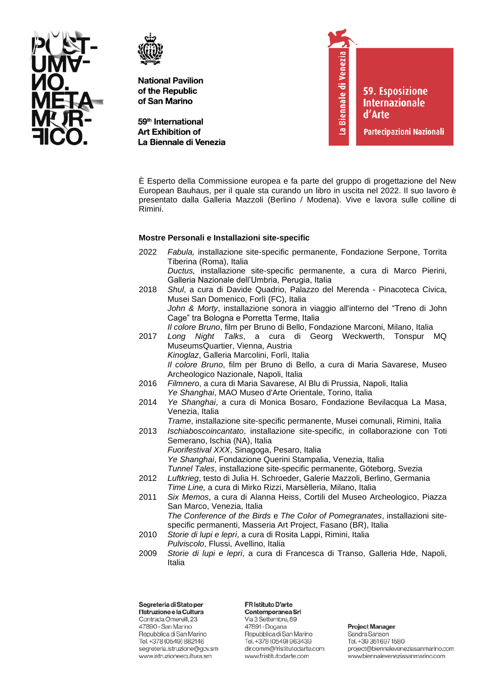



59<sup>th</sup> International **Art Exhibition of** La Biennale di Venezia



È Esperto della Commissione europea e fa parte del gruppo di progettazione del New European Bauhaus, per il quale sta curando un libro in uscita nel 2022. Il suo lavoro è presentato dalla Galleria Mazzoli (Berlino / Modena). Vive e lavora sulle colline di Rimini.

### **Mostre Personali e Installazioni site-specific**

2022 *Fabula,* installazione site-specific permanente, Fondazione Serpone, Torrita Tiberina (Roma), Italia *Ductus,* installazione site-specific permanente, a cura di Marco Pierini, Galleria Nazionale dell'Umbria, Perugia, Italia 2018 *Shul*, a cura di Davide Quadrio, Palazzo del Merenda - Pinacoteca Civica, Musei San Domenico, Forlì (FC), Italia *John & Morty*, installazione sonora in viaggio all'interno del "Treno di John Cage" tra Bologna e Porretta Terme, Italia *Il colore Bruno*, film per Bruno di Bello, Fondazione Marconi, Milano, Italia 2017 *Long Night Talks*, a cura di Georg Weckwerth, Tonspur MQ MuseumsQuartier, Vienna, Austria *Kinoglaz*, Galleria Marcolini, Forlì, Italia *Il colore Bruno*, film per Bruno di Bello, a cura di Maria Savarese, Museo Archeologico Nazionale, Napoli, Italia 2016 *Filmnero*, a cura di Maria Savarese, Al Blu di Prussia, Napoli, Italia *Ye Shanghai*, MAO Museo d'Arte Orientale, Torino, Italia 2014 *Ye Shanghai*, a cura di Monica Bosaro, Fondazione Bevilacqua La Masa, Venezia, Italia *Trame*, installazione site-specific permanente, Musei comunali, Rimini, Italia 2013 *Ischiaboscoincantato*, installazione site-specific, in collaborazione con Toti Semerano, Ischia (NA), Italia *Fuorifestival XXX*, Sinagoga, Pesaro, Italia *Ye Shanghai*, Fondazione Querini Stampalia, Venezia, Italia *Tunnel Tales*, installazione site-specific permanente, Göteborg, Svezia 2012 *Luftkrieg*, testo di Julia H. Schroeder, Galerie Mazzoli, Berlino, Germania *Time Line,* a cura di Mirko Rizzi, Marsèlleria, Milano, Italia 2011 *Six Memos*, a cura di Alanna Heiss, Cortili del Museo Archeologico, Piazza San Marco, Venezia, Italia *The Conference of the Birds* e *The Color of Pomegranates*, installazioni sitespecific permanenti, Masseria Art Project, Fasano (BR), Italia 2010 *Storie di lupi e lepri*, a cura di Rosita Lappi, Rimini, Italia *Pulviscolo*, Flussi, Avellino, Italia 2009 *Storie di lupi e lepri*, a cura di Francesca di Transo, Galleria Hde, Napoli, Italia

Segreteria di Stato per l'Istruzione e la Cultura Contrada Omerelli, 23 47890 - San Marino Repubblica di San Marino Tel. +378 (0549) 882146 segreteria.istruzione@gov.sm www.istruzioneecultura.sm

FR Istituto D'arte Contemporanea Srl

Via 3 Settembre, 89 47891 - Dogana Repubblica di San Marino Tel. +378 (0549) 963439 dir.comm@fristitutodarte.com www.fristitutodarte.com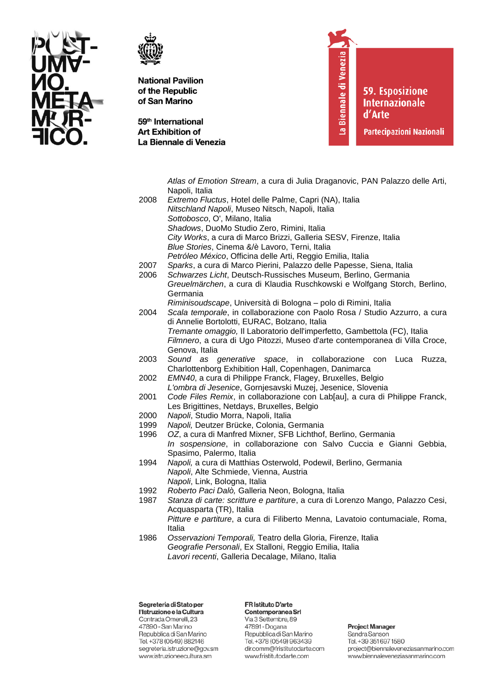



59<sup>th</sup> International **Art Exhibition of** La Biennale di Venezia La Biennale di Venezia

**59. Esposizione Internazionale** d'Arte

**Partecipazioni Nazionali** 

Atlas of Emotion Stream, a cura di Julia Draganovic, PAN Palazzo delle Arti, Napoli, Italia 2008 Extremo Fluctus, Hotel delle Palme, Capri (NA), Italia Nitschland Napoli, Museo Nitsch, Napoli, Italia Sottobosco, O', Milano, Italia Shadows, DuoMo Studio Zero, Rimini, Italia City Works, a cura di Marco Brizzi, Galleria SESV, Firenze, Italia Blue Stories, Cinema &/è Lavoro, Terni, Italia Petróleo México. Officina delle Arti. Reggio Emilia. Italia 2007 Sparks, a cura di Marco Pierini, Palazzo delle Papesse, Siena, Italia 2006 Schwarzes Licht. Deutsch-Russisches Museum. Berlino. Germania Greuelmärchen, a cura di Klaudia Ruschkowski e Wolfgang Storch, Berlino, Germania Riminisoudscape, Università di Bologna - polo di Rimini, Italia 2004 Scala temporale, in collaborazione con Paolo Rosa / Studio Azzurro, a cura di Annelie Bortolotti, EURAC, Bolzano, Italia Tremante omaggio, Il Laboratorio dell'imperfetto, Gambettola (FC), Italia Filmnero, a cura di Ugo Pitozzi, Museo d'arte contemporanea di Villa Croce, Genova, Italia 2003 Sound as generative space, in collaborazione con Luca Ruzza, Charlottenborg Exhibition Hall, Copenhagen, Danimarca EMN40, a cura di Philippe Franck, Flagey, Bruxelles, Belgio 2002 L'ombra di Jesenice, Gornjesavski Muzej, Jesenice, Slovenia 2001 Code Files Remix, in collaborazione con Lab[au], a cura di Philippe Franck, Les Brigittines, Netdays, Bruxelles, Belgio 2000 Napoli, Studio Morra, Napoli, Italia 1999 Napoli, Deutzer Brücke, Colonia, Germania OZ, a cura di Manfred Mixner, SFB Lichthof, Berlino, Germania 1996 In sospensione, in collaborazione con Salvo Cuccia e Gianni Gebbia, Spasimo, Palermo, Italia 1994 Napoli, a cura di Matthias Osterwold, Podewil, Berlino, Germania Napoli, Alte Schmiede, Vienna, Austria Napoli, Link, Bologna, Italia 1992 Roberto Paci Dalò, Galleria Neon, Bologna, Italia 1987 Stanza di carte: scritture e partiture, a cura di Lorenzo Mango, Palazzo Cesi, Acquasparta (TR), Italia Pitture e partiture, a cura di Filiberto Menna, Lavatoio contumaciale, Roma, Italia 1986 Osservazioni Temporali, Teatro della Gloria, Firenze, Italia Geografie Personali, Ex Stalloni, Reggio Emilia, Italia Lavori recenti, Galleria Decalage, Milano, Italia

Segreteria di Stato per l'Istruzione e la Cultura Contrada Omerelli, 23 47890 - San Marino Repubblica di San Marino Tel. +378 (0549) 882146 segreteria.istruzione@gov.sm www.istruzioneecultura.sm

#### FR Istituto D'arte Contemporanea Srl

Via 3 Settembre, 89 47891 - Dogana Repubblica di San Marino Tel. +378 (0549) 963439 dir.comm@fristitutodarte.com www.fristitutodarte.com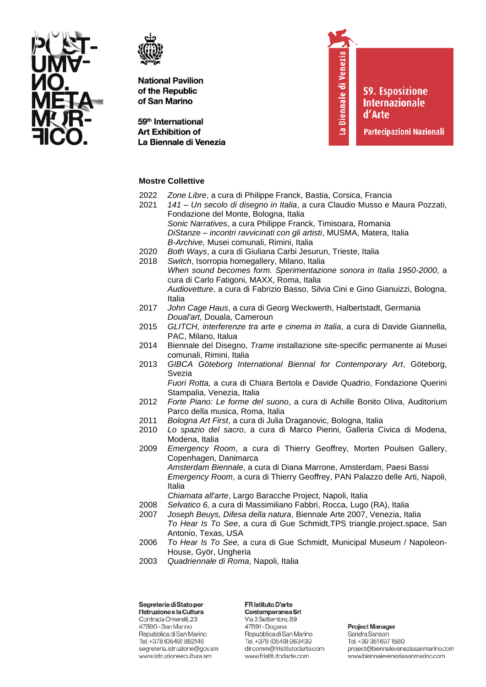



59<sup>th</sup> International **Art Exhibition of** La Biennale di Venezia La Biennale di Venezia

**59. Esposizione Internazionale** d'Arte

**Partecipazioni Nazionali** 

# **Mostre Collettive**

- 2022 *Zone Libre*, a cura di Philippe Franck, Bastia, Corsica, Francia
- 2021 *141 – Un secolo di disegno in Italia*, a cura Claudio Musso e Maura Pozzati, Fondazione del Monte, Bologna, Italia *Sonic Narratives*, a cura Philippe Franck, Timisoara, Romania *DiStanze – incontri ravvicinati con gli artisti*, MUSMA, Matera, Italia *B-Archive,* Musei comunali, Rimini, Italia
- 2020 *Both Ways*, a cura di Giuliana Carbi Jesurun, Trieste, Italia
- 2018 *Switch*, Isorropia homegallery, Milano, Italia *When sound becomes form. Sperimentazione sonora in Italia 1950-2000*, a cura di Carlo Fatigoni, MAXX, Roma, Italia *Audiovetture*, a cura di Fabrizio Basso, Silvia Cini e Gino Gianuizzi, Bologna, Italia
- 2017 *John Cage Haus*, a cura di Georg Weckwerth, Halbertstadt, Germania *Doual'art,* Douala, Cameroun
- 2015 *GLITCH, interferenze tra arte e cinema in Italia*, a cura di Davide Giannella, PAC, Milano, Italua
- 2014 Biennale del Disegno, *Trame* installazione site-specific permanente ai Musei comunali, Rimini, Italia
- 2013 *GIBCA Göteborg International Biennal for Contemporary Art*, Göteborg, Svezia

*Fuori Rotta,* a cura di Chiara Bertola e Davide Quadrio, Fondazione Querini Stampalia, Venezia, Italia

- 2012 *Forte Piano: Le forme del suono*, a cura di Achille Bonito Oliva, Auditorium Parco della musica, Roma, Italia
- 2011 *Bologna Art First*, a cura di Julia Draganovic, Bologna, Italia
- 2010 *Lo spazio del sacro*, a cura di Marco Pierini, Galleria Civica di Modena, Modena, Italia
- 2009 *Emergency Room*, a cura di Thierry Geoffrey, Morten Poulsen Gallery, Copenhagen, Danimarca *Amsterdam Biennale*, a cura di Diana Marrone, Amsterdam, Paesi Bassi *Emergency Room*, a cura di Thierry Geoffrey, PAN Palazzo delle Arti, Napoli, Italia

*Chiamata all'arte*, Largo Baracche Project, Napoli, Italia

- 2008 *Selvatico 6,* a cura di Massimiliano Fabbri, Rocca, Lugo (RA), Italia
- 2007 *Joseph Beuys, Difesa della natura*, Biennale Arte 2007, Venezia, Italia *To Hear Is To See*, a cura di Gue Schmidt,TPS triangle.project.space, San Antonio, Texas, USA
- 2006 *To Hear Is To See,* a cura di Gue Schmidt, Municipal Museum / Napoleon-House, Györ, Ungheria
- 2003 *Quadriennale di Roma*, Napoli, Italia

Segreteria di Stato per l'Istruzione e la Cultura Contrada Omerelli, 23 47890 - San Marino Repubblica di San Marino Tel. +378 (0549) 882146 segreteria.istruzione@gov.sm www.istruzioneecultura.sm

**FR Istituto D'arte** Contemporanea Srl Via 3 Settembre, 89 47891 - Dogana Repubblica di San Marino Tel. +378 (0549) 963439

www.fristitutodarte.com

dir.comm@fristitutodarte.com